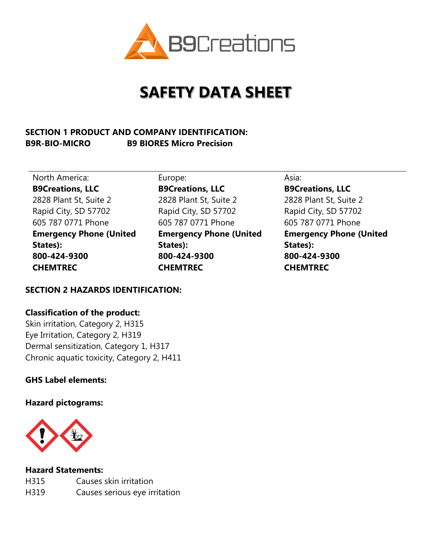

# **SAFETY DATA SHEET**

## **SECTION 1 PRODUCT AND COMPANY IDENTIFICATION: B9R-BIO-MICRO B9 BIORES Micro Precision**

North America: Europe: Europe: Asia: Asia: **B9Creations, LLC** 2828 Plant St, Suite 2 Rapid City, SD 57702 605 787 0771 Phone **Emergency Phone (United States): 800-424-9300 CHEMTREC** 

**B9Creations, LLC** 2828 Plant St, Suite 2 Rapid City, SD 57702 605 787 0771 Phone **Emergency Phone (United States): 800-424-9300 CHEMTREC**

**B9Creations, LLC** 2828 Plant St, Suite 2 Rapid City, SD 57702 605 787 0771 Phone **Emergency Phone (United States): 800-424-9300 CHEMTREC**

### **SECTION 2 HAZARDS IDENTIFICATION:**

#### **Classification of the product:**

Skin irritation, Category 2, H315 Eye Irritation, Category 2, H319 Dermal sensitization, Category 1, H317 Chronic aquatic toxicity, Category 2, H411

### **GHS Label elements:**

**Hazard pictograms:**



#### **Hazard Statements:**

| H315 | Causes skin irritation        |
|------|-------------------------------|
| H319 | Causes serious eye irritation |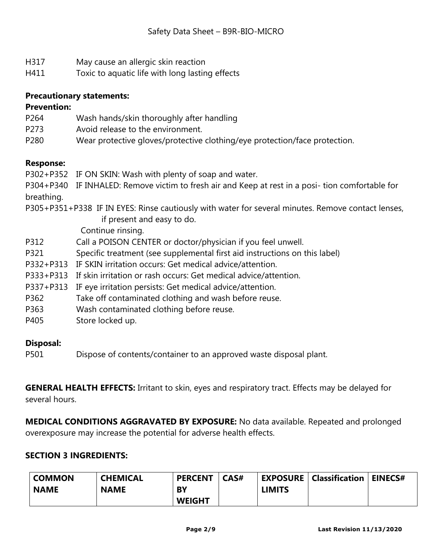- H317 May cause an allergic skin reaction
- H411 Toxic to aquatic life with long lasting effects

### **Precautionary statements:**

#### **Prevention:**

- P264 Wash hands/skin thoroughly after handling
- P273 Avoid release to the environment.
- P280 Wear protective gloves/protective clothing/eye protection/face protection.

### **Response:**

P302+P352 IF ON SKIN: Wash with plenty of soap and water.

P304+P340 IF INHALED: Remove victim to fresh air and Keep at rest in a posi- tion comfortable for breathing.

P305+P351+P338 IF IN EYES: Rinse cautiously with water for several minutes. Remove contact lenses, if present and easy to do.

Continue rinsing.

- P312 Call a POISON CENTER or doctor/physician if you feel unwell.
- P321 Specific treatment (see supplemental first aid instructions on this label)
- P332+P313 IF SKIN irritation occurs: Get medical advice/attention.
- P333+P313 If skin irritation or rash occurs: Get medical advice/attention.
- P337+P313 IF eye irritation persists: Get medical advice/attention.
- P362 Take off contaminated clothing and wash before reuse.
- P363 Wash contaminated clothing before reuse.
- P405 Store locked up.

#### **Disposal:**

P501 Dispose of contents/container to an approved waste disposal plant.

**GENERAL HEALTH EFFECTS:** Irritant to skin, eyes and respiratory tract. Effects may be delayed for several hours.

**MEDICAL CONDITIONS AGGRAVATED BY EXPOSURE:** No data available. Repeated and prolonged overexposure may increase the potential for adverse health effects.

#### **SECTION 3 INGREDIENTS:**

| <b>COMMON</b> | <b>CHEMICAL</b> | <b>PERCENT</b> | CAS# |               | <b>EXPOSURE   Classification   EINECS#</b> |  |
|---------------|-----------------|----------------|------|---------------|--------------------------------------------|--|
| <b>NAME</b>   | <b>NAME</b>     | BY             |      | <b>LIMITS</b> |                                            |  |
|               |                 | <b>WEIGHT</b>  |      |               |                                            |  |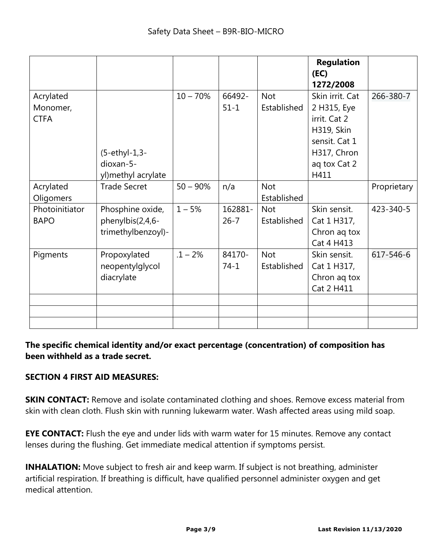|                                      |                                                            |             |                     |                           | <b>Regulation</b><br>(EC)<br>1272/2008                                                                                      |             |
|--------------------------------------|------------------------------------------------------------|-------------|---------------------|---------------------------|-----------------------------------------------------------------------------------------------------------------------------|-------------|
| Acrylated<br>Monomer,<br><b>CTFA</b> | $(5-ethyl-1,3-$<br>dioxan-5-<br>yl) methyl acrylate        | $10 - 70%$  | 66492-<br>$51 - 1$  | <b>Not</b><br>Established | Skin irrit. Cat<br>2 H315, Eye<br>irrit. Cat 2<br><b>H319, Skin</b><br>sensit. Cat 1<br>H317, Chron<br>ag tox Cat 2<br>H411 | 266-380-7   |
| Acrylated<br>Oligomers               | <b>Trade Secret</b>                                        | $50 - 90\%$ | n/a                 | <b>Not</b><br>Established |                                                                                                                             | Proprietary |
| Photoinitiator<br><b>BAPO</b>        | Phosphine oxide,<br>phenylbis(2,4,6-<br>trimethylbenzoyl)- | $1 - 5%$    | 162881-<br>$26 - 7$ | <b>Not</b><br>Established | Skin sensit.<br>Cat 1 H317,<br>Chron ag tox<br>Cat 4 H413                                                                   | 423-340-5   |
| Pigments                             | Propoxylated<br>neopentylglycol<br>diacrylate              | $.1 - 2%$   | 84170-<br>$74-1$    | <b>Not</b><br>Established | Skin sensit.<br>Cat 1 H317,<br>Chron ag tox<br>Cat 2 H411                                                                   | 617-546-6   |
|                                      |                                                            |             |                     |                           |                                                                                                                             |             |

## **The specific chemical identity and/or exact percentage (concentration) of composition has been withheld as a trade secret.**

## **SECTION 4 FIRST AID MEASURES:**

**SKIN CONTACT:** Remove and isolate contaminated clothing and shoes. Remove excess material from skin with clean cloth. Flush skin with running lukewarm water. Wash affected areas using mild soap.

**EYE CONTACT:** Flush the eye and under lids with warm water for 15 minutes. Remove any contact lenses during the flushing. Get immediate medical attention if symptoms persist.

**INHALATION:** Move subject to fresh air and keep warm. If subject is not breathing, administer artificial respiration. If breathing is difficult, have qualified personnel administer oxygen and get medical attention.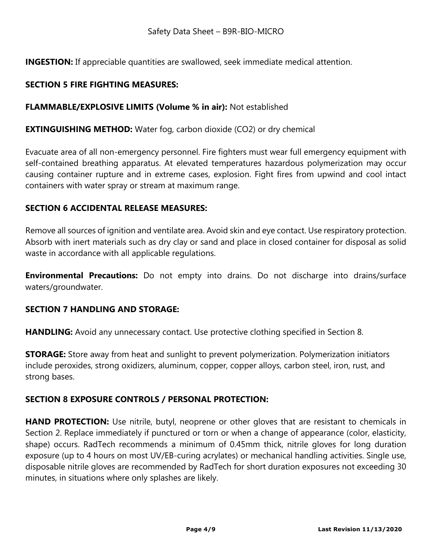**INGESTION:** If appreciable quantities are swallowed, seek immediate medical attention.

## **SECTION 5 FIRE FIGHTING MEASURES:**

## **FLAMMABLE/EXPLOSIVE LIMITS (Volume % in air):** Not established

## **EXTINGUISHING METHOD:** Water fog, carbon dioxide (CO2) or dry chemical

Evacuate area of all non-emergency personnel. Fire fighters must wear full emergency equipment with self-contained breathing apparatus. At elevated temperatures hazardous polymerization may occur causing container rupture and in extreme cases, explosion. Fight fires from upwind and cool intact containers with water spray or stream at maximum range.

### **SECTION 6 ACCIDENTAL RELEASE MEASURES:**

Remove all sources of ignition and ventilate area. Avoid skin and eye contact. Use respiratory protection. Absorb with inert materials such as dry clay or sand and place in closed container for disposal as solid waste in accordance with all applicable regulations.

**Environmental Precautions:** Do not empty into drains. Do not discharge into drains/surface waters/groundwater.

#### **SECTION 7 HANDLING AND STORAGE:**

**HANDLING:** Avoid any unnecessary contact. Use protective clothing specified in Section 8.

**STORAGE:** Store away from heat and sunlight to prevent polymerization. Polymerization initiators include peroxides, strong oxidizers, aluminum, copper, copper alloys, carbon steel, iron, rust, and strong bases.

## **SECTION 8 EXPOSURE CONTROLS / PERSONAL PROTECTION:**

**HAND PROTECTION:** Use nitrile, butyl, neoprene or other gloves that are resistant to chemicals in Section 2. Replace immediately if punctured or torn or when a change of appearance (color, elasticity, shape) occurs. RadTech recommends a minimum of 0.45mm thick, nitrile gloves for long duration exposure (up to 4 hours on most UV/EB-curing acrylates) or mechanical handling activities. Single use, disposable nitrile gloves are recommended by RadTech for short duration exposures not exceeding 30 minutes, in situations where only splashes are likely.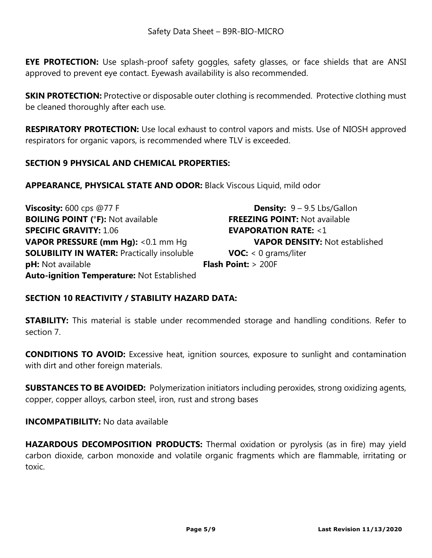**EYE PROTECTION:** Use splash-proof safety goggles, safety glasses, or face shields that are ANSI approved to prevent eye contact. Eyewash availability is also recommended.

**SKIN PROTECTION:** Protective or disposable outer clothing is recommended. Protective clothing must be cleaned thoroughly after each use.

**RESPIRATORY PROTECTION:** Use local exhaust to control vapors and mists. Use of NIOSH approved respirators for organic vapors, is recommended where TLV is exceeded.

## **SECTION 9 PHYSICAL AND CHEMICAL PROPERTIES:**

**APPEARANCE, PHYSICAL STATE AND ODOR:** Black Viscous Liquid, mild odor

| Viscosity: $600$ cps @77 F                        | <b>Density:</b> $9 - 9.5$ Lbs/Gallon  |
|---------------------------------------------------|---------------------------------------|
| <b>BOILING POINT (°F): Not available</b>          | <b>FREEZING POINT: Not available</b>  |
| <b>SPECIFIC GRAVITY: 1.06</b>                     | <b>EVAPORATION RATE: &lt;1</b>        |
| <b>VAPOR PRESSURE (mm Hg): &lt;0.1 mm Hg</b>      | <b>VAPOR DENSITY: Not established</b> |
| <b>SOLUBILITY IN WATER: Practically insoluble</b> | <b>VOC:</b> $< 0$ grams/liter         |
| <b>pH:</b> Not available                          | <b>Flash Point:</b> $> 200F$          |
| Auto-ignition Temperature: Not Established        |                                       |

## **SECTION 10 REACTIVITY / STABILITY HAZARD DATA:**

**STABILITY:** This material is stable under recommended storage and handling conditions. Refer to section 7.

**CONDITIONS TO AVOID:** Excessive heat, ignition sources, exposure to sunlight and contamination with dirt and other foreign materials.

**SUBSTANCES TO BE AVOIDED:** Polymerization initiators including peroxides, strong oxidizing agents, copper, copper alloys, carbon steel, iron, rust and strong bases

**INCOMPATIBILITY:** No data available

**HAZARDOUS DECOMPOSITION PRODUCTS:** Thermal oxidation or pyrolysis (as in fire) may yield carbon dioxide, carbon monoxide and volatile organic fragments which are flammable, irritating or toxic.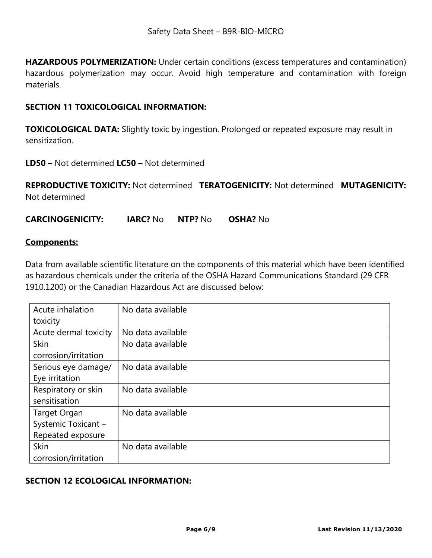**HAZARDOUS POLYMERIZATION:** Under certain conditions (excess temperatures and contamination) hazardous polymerization may occur. Avoid high temperature and contamination with foreign materials.

#### **SECTION 11 TOXICOLOGICAL INFORMATION:**

**TOXICOLOGICAL DATA:** Slightly toxic by ingestion. Prolonged or repeated exposure may result in sensitization.

**LD50 –** Not determined **LC50 –** Not determined

**REPRODUCTIVE TOXICITY:** Not determined **TERATOGENICITY:** Not determined **MUTAGENICITY:**  Not determined

**CARCINOGENICITY: IARC?** No **NTP?** No **OSHA?** No

#### **Components:**

Data from available scientific literature on the components of this material which have been identified as hazardous chemicals under the criteria of the OSHA Hazard Communications Standard (29 CFR 1910.1200) or the Canadian Hazardous Act are discussed below:

| Acute inhalation      | No data available |
|-----------------------|-------------------|
| toxicity              |                   |
| Acute dermal toxicity | No data available |
| <b>Skin</b>           | No data available |
| corrosion/irritation  |                   |
| Serious eye damage/   | No data available |
| Eye irritation        |                   |
| Respiratory or skin   | No data available |
| sensitisation         |                   |
| <b>Target Organ</b>   | No data available |
| Systemic Toxicant -   |                   |
| Repeated exposure     |                   |
| <b>Skin</b>           | No data available |
| corrosion/irritation  |                   |

#### **SECTION 12 ECOLOGICAL INFORMATION:**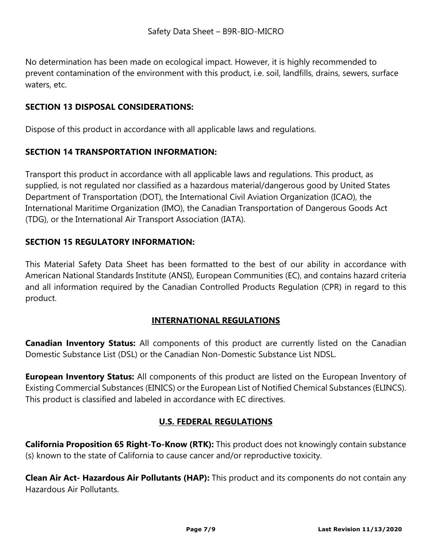No determination has been made on ecological impact. However, it is highly recommended to prevent contamination of the environment with this product, i.e. soil, landfills, drains, sewers, surface waters, etc.

## **SECTION 13 DISPOSAL CONSIDERATIONS:**

Dispose of this product in accordance with all applicable laws and regulations.

## **SECTION 14 TRANSPORTATION INFORMATION:**

Transport this product in accordance with all applicable laws and regulations. This product, as supplied, is not regulated nor classified as a hazardous material/dangerous good by United States Department of Transportation (DOT), the International Civil Aviation Organization (ICAO), the International Maritime Organization (IMO), the Canadian Transportation of Dangerous Goods Act (TDG), or the International Air Transport Association (IATA).

## **SECTION 15 REGULATORY INFORMATION:**

This Material Safety Data Sheet has been formatted to the best of our ability in accordance with American National Standards Institute (ANSI), European Communities (EC), and contains hazard criteria and all information required by the Canadian Controlled Products Regulation (CPR) in regard to this product.

#### **INTERNATIONAL REGULATIONS**

**Canadian Inventory Status:** All components of this product are currently listed on the Canadian Domestic Substance List (DSL) or the Canadian Non-Domestic Substance List NDSL.

**European Inventory Status:** All components of this product are listed on the European Inventory of Existing Commercial Substances (EINICS) or the European List of Notified Chemical Substances (ELINCS). This product is classified and labeled in accordance with EC directives.

## **U.S. FEDERAL REGULATIONS**

**California Proposition 65 Right-To-Know (RTK):** This product does not knowingly contain substance (s) known to the state of California to cause cancer and/or reproductive toxicity.

**Clean Air Act- Hazardous Air Pollutants (HAP):** This product and its components do not contain any Hazardous Air Pollutants.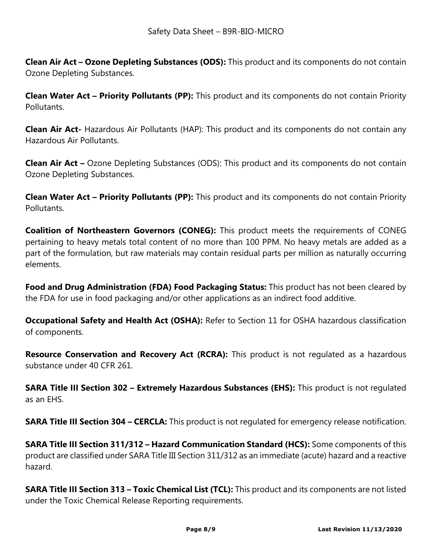**Clean Air Act – Ozone Depleting Substances (ODS):** This product and its components do not contain Ozone Depleting Substances.

**Clean Water Act – Priority Pollutants (PP):** This product and its components do not contain Priority Pollutants.

**Clean Air Act-** Hazardous Air Pollutants (HAP): This product and its components do not contain any Hazardous Air Pollutants.

**Clean Air Act –** Ozone Depleting Substances (ODS): This product and its components do not contain Ozone Depleting Substances.

**Clean Water Act – Priority Pollutants (PP):** This product and its components do not contain Priority **Pollutants** 

**Coalition of Northeastern Governors (CONEG):** This product meets the requirements of CONEG pertaining to heavy metals total content of no more than 100 PPM. No heavy metals are added as a part of the formulation, but raw materials may contain residual parts per million as naturally occurring elements.

**Food and Drug Administration (FDA) Food Packaging Status:** This product has not been cleared by the FDA for use in food packaging and/or other applications as an indirect food additive.

**Occupational Safety and Health Act (OSHA):** Refer to Section 11 for OSHA hazardous classification of components.

**Resource Conservation and Recovery Act (RCRA):** This product is not regulated as a hazardous substance under 40 CFR 261.

**SARA Title III Section 302 – Extremely Hazardous Substances (EHS):** This product is not regulated as an EHS.

**SARA Title III Section 304 – CERCLA:** This product is not regulated for emergency release notification.

**SARA Title III Section 311/312 – Hazard Communication Standard (HCS):** Some components of this product are classified under SARA Title III Section 311/312 as an immediate (acute) hazard and a reactive hazard.

**SARA Title III Section 313 – Toxic Chemical List (TCL):** This product and its components are not listed under the Toxic Chemical Release Reporting requirements.